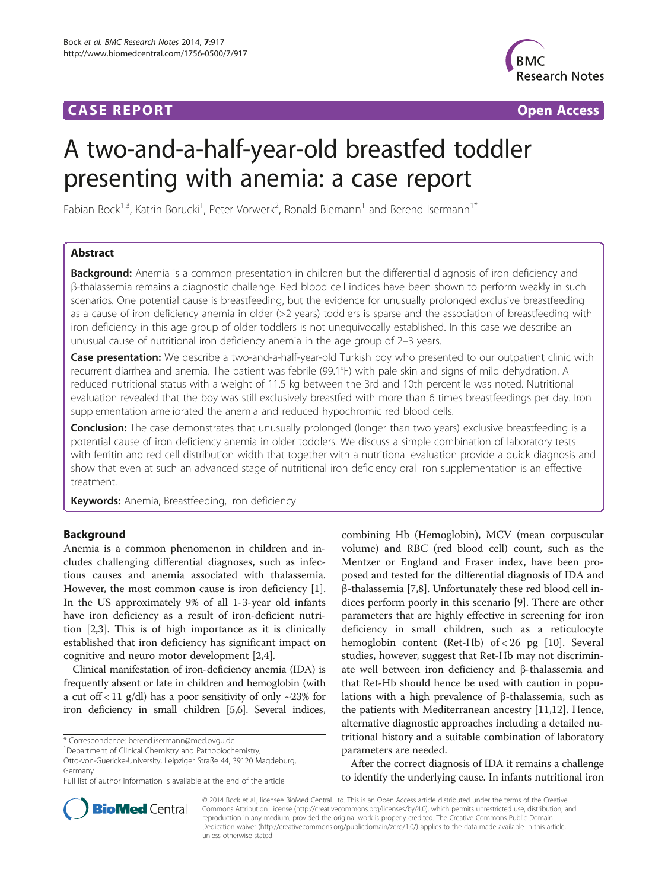## **CASE REPORT CASE REPORT CASE REPORT**



# A two-and-a-half-year-old breastfed toddler presenting with anemia: a case report

Fabian Bock<sup>1,3</sup>, Katrin Borucki<sup>1</sup>, Peter Vorwerk<sup>2</sup>, Ronald Biemann<sup>1</sup> and Berend Isermann<sup>1\*</sup>

## Abstract

Background: Anemia is a common presentation in children but the differential diagnosis of iron deficiency and β-thalassemia remains a diagnostic challenge. Red blood cell indices have been shown to perform weakly in such scenarios. One potential cause is breastfeeding, but the evidence for unusually prolonged exclusive breastfeeding as a cause of iron deficiency anemia in older (>2 years) toddlers is sparse and the association of breastfeeding with iron deficiency in this age group of older toddlers is not unequivocally established. In this case we describe an unusual cause of nutritional iron deficiency anemia in the age group of 2–3 years.

Case presentation: We describe a two-and-a-half-year-old Turkish boy who presented to our outpatient clinic with recurrent diarrhea and anemia. The patient was febrile (99.1°F) with pale skin and signs of mild dehydration. A reduced nutritional status with a weight of 11.5 kg between the 3rd and 10th percentile was noted. Nutritional evaluation revealed that the boy was still exclusively breastfed with more than 6 times breastfeedings per day. Iron supplementation ameliorated the anemia and reduced hypochromic red blood cells.

Conclusion: The case demonstrates that unusually prolonged (longer than two years) exclusive breastfeeding is a potential cause of iron deficiency anemia in older toddlers. We discuss a simple combination of laboratory tests with ferritin and red cell distribution width that together with a nutritional evaluation provide a quick diagnosis and show that even at such an advanced stage of nutritional iron deficiency oral iron supplementation is an effective treatment.

Keywords: Anemia, Breastfeeding, Iron deficiency

## Background

Anemia is a common phenomenon in children and includes challenging differential diagnoses, such as infectious causes and anemia associated with thalassemia. However, the most common cause is iron deficiency [\[1](#page-4-0)]. In the US approximately 9% of all 1-3-year old infants have iron deficiency as a result of iron-deficient nutrition [[2](#page-4-0),[3](#page-4-0)]. This is of high importance as it is clinically established that iron deficiency has significant impact on cognitive and neuro motor development [\[2,4](#page-4-0)].

Clinical manifestation of iron-deficiency anemia (IDA) is frequently absent or late in children and hemoglobin (with a cut of  $\frac{11 \text{ g}}{d}$  has a poor sensitivity of only  $\sim$ 23% for iron deficiency in small children [[5,6](#page-4-0)]. Several indices,

\* Correspondence: [berend.isermann@med.ovgu.de](mailto:berend.isermann@med.ovgu.de) <sup>1</sup>

<sup>1</sup>Department of Clinical Chemistry and Pathobiochemistry,

Otto-von-Guericke-University, Leipziger Straße 44, 39120 Magdeburg, Germany

combining Hb (Hemoglobin), MCV (mean corpuscular volume) and RBC (red blood cell) count, such as the Mentzer or England and Fraser index, have been proposed and tested for the differential diagnosis of IDA and β-thalassemia [\[7,8](#page-4-0)]. Unfortunately these red blood cell indices perform poorly in this scenario [\[9](#page-4-0)]. There are other parameters that are highly effective in screening for iron deficiency in small children, such as a reticulocyte hemoglobin content (Ret-Hb) of < 26 pg [[10\]](#page-4-0). Several studies, however, suggest that Ret-Hb may not discriminate well between iron deficiency and β-thalassemia and that Ret-Hb should hence be used with caution in populations with a high prevalence of β-thalassemia, such as the patients with Mediterranean ancestry [\[11,12\]](#page-4-0). Hence, alternative diagnostic approaches including a detailed nutritional history and a suitable combination of laboratory parameters are needed.

After the correct diagnosis of IDA it remains a challenge to identify the underlying cause. In infants nutritional iron



© 2014 Bock et al.; licensee BioMed Central Ltd. This is an Open Access article distributed under the terms of the Creative Commons Attribution License [\(http://creativecommons.org/licenses/by/4.0\)](http://creativecommons.org/licenses/by/4.0), which permits unrestricted use, distribution, and reproduction in any medium, provided the original work is properly credited. The Creative Commons Public Domain Dedication waiver [\(http://creativecommons.org/publicdomain/zero/1.0/](http://creativecommons.org/publicdomain/zero/1.0/)) applies to the data made available in this article, unless otherwise stated.

Full list of author information is available at the end of the article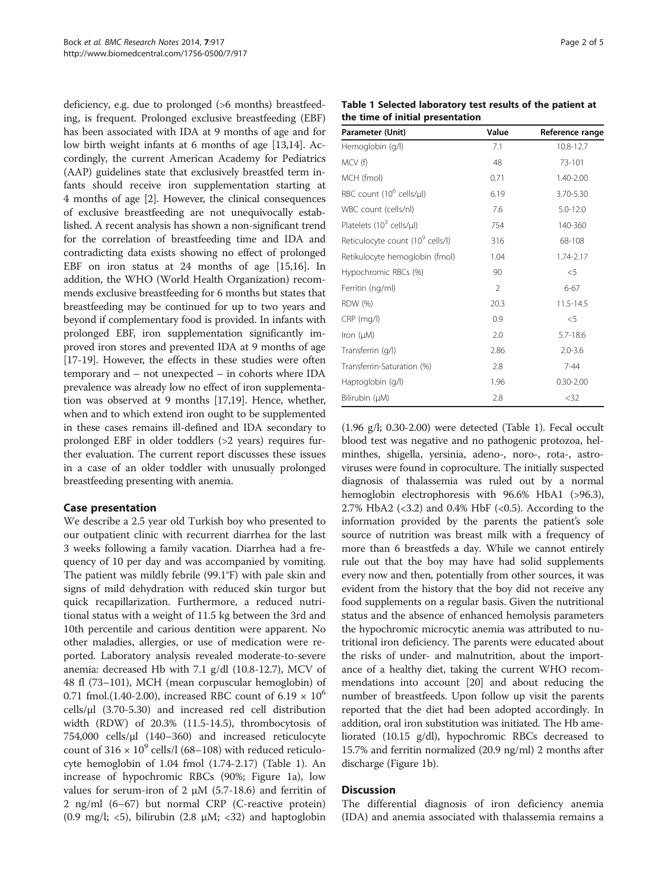deficiency, e.g. due to prolonged (>6 months) breastfeeding, is frequent. Prolonged exclusive breastfeeding (EBF) has been associated with IDA at 9 months of age and for low birth weight infants at 6 months of age [[13,14\]](#page-4-0). Accordingly, the current American Academy for Pediatrics (AAP) guidelines state that exclusively breastfed term infants should receive iron supplementation starting at 4 months of age [[2\]](#page-4-0). However, the clinical consequences of exclusive breastfeeding are not unequivocally established. A recent analysis has shown a non-significant trend for the correlation of breastfeeding time and IDA and contradicting data exists showing no effect of prolonged EBF on iron status at 24 months of age [\[15,16\]](#page-4-0). In addition, the WHO (World Health Organization) recommends exclusive breastfeeding for 6 months but states that breastfeeding may be continued for up to two years and beyond if complementary food is provided. In infants with prolonged EBF, iron supplementation significantly improved iron stores and prevented IDA at 9 months of age [[17](#page-4-0)-[19\]](#page-4-0). However, the effects in these studies were often temporary and – not unexpected – in cohorts where IDA prevalence was already low no effect of iron supplementation was observed at 9 months [\[17,19](#page-4-0)]. Hence, whether, when and to which extend iron ought to be supplemented in these cases remains ill-defined and IDA secondary to prolonged EBF in older toddlers (>2 years) requires further evaluation. The current report discusses these issues in a case of an older toddler with unusually prolonged breastfeeding presenting with anemia.

## Case presentation

We describe a 2.5 year old Turkish boy who presented to our outpatient clinic with recurrent diarrhea for the last 3 weeks following a family vacation. Diarrhea had a frequency of 10 per day and was accompanied by vomiting. The patient was mildly febrile (99.1°F) with pale skin and signs of mild dehydration with reduced skin turgor but quick recapillarization. Furthermore, a reduced nutritional status with a weight of 11.5 kg between the 3rd and 10th percentile and carious dentition were apparent. No other maladies, allergies, or use of medication were reported. Laboratory analysis revealed moderate-to-severe anemia: decreased Hb with 7.1 g/dl (10.8-12.7), MCV of 48 fl (73–101), MCH (mean corpuscular hemoglobin) of 0.71 fmol.(1.40-2.00), increased RBC count of  $6.19 \times 10^6$ cells/ $\mu$ l (3.70-5.30) and increased red cell distribution width (RDW) of 20.3% (11.5-14.5), thrombocytosis of 754,000 cells/µl (140–360) and increased reticulocyte count of  $316 \times 10^9$  cells/l (68–108) with reduced reticulocyte hemoglobin of 1.04 fmol (1.74-2.17) (Table 1). An increase of hypochromic RBCs (90%; Figure [1a](#page-2-0)), low values for serum-iron of 2 μM (5.7-18.6) and ferritin of 2 ng/ml (6–67) but normal CRP (C-reactive protein) (0.9 mg/l;  $\langle 5 \rangle$ , bilirubin (2.8  $\mu$ M;  $\langle 32 \rangle$  and haptoglobin

| Table 1 Selected laboratory test results of the patient at |  |
|------------------------------------------------------------|--|
| the time of initial presentation                           |  |

| Parameter (Unit)                             | Value          | Reference range |
|----------------------------------------------|----------------|-----------------|
| Hemoglobin (g/l)                             | 7.1            | 10.8-12.7       |
| MCV (f)                                      | 48             | 73-101          |
| MCH (fmol)                                   | 0.71           | 1.40-2.00       |
| RBC count (10 <sup>6</sup> cells/ul)         | 6.19           | 3.70-5.30       |
| WBC count (cells/nl)                         | 7.6            | $5.0 - 12.0$    |
| Platelets $(10^3 \text{ cells/}\mu\text{I})$ | 754            | 140-360         |
| Reticulocyte count (10 <sup>9</sup> cells/l) | 316            | 68-108          |
| Retikulocyte hemoglobin (fmol)               | 1.04           | 1.74-2.17       |
| Hypochromic RBCs (%)                         | 90             | $<$ 5           |
| Ferritin (ng/ml)                             | $\overline{2}$ | $6 - 67$        |
| <b>RDW</b> (%)                               | 20.3           | 11.5-14.5       |
| $CRP$ (mg/l)                                 | 0.9            | $<$ 5           |
| Iron $(\mu M)$                               | 2.0            | $5.7 - 18.6$    |
| Transferrin (g/l)                            | 2.86           | $2.0 - 3.6$     |
| Transferrin-Saturation (%)                   | 2.8            | $7 - 44$        |
| Haptoglobin (g/l)                            | 1.96           | $0.30 - 2.00$   |
| Bilirubin (µM)                               | 2.8            | $32$            |

(1.96 g/l; 0.30-2.00) were detected (Table 1). Fecal occult blood test was negative and no pathogenic protozoa, helminthes, shigella, yersinia, adeno-, noro-, rota-, astroviruses were found in coproculture. The initially suspected diagnosis of thalassemia was ruled out by a normal hemoglobin electrophoresis with 96.6% HbA1 (>96.3), 2.7% HbA2 ( $<3.2$ ) and 0.4% HbF ( $<0.5$ ). According to the information provided by the parents the patient's sole source of nutrition was breast milk with a frequency of more than 6 breastfeds a day. While we cannot entirely rule out that the boy may have had solid supplements every now and then, potentially from other sources, it was evident from the history that the boy did not receive any food supplements on a regular basis. Given the nutritional status and the absence of enhanced hemolysis parameters the hypochromic microcytic anemia was attributed to nutritional iron deficiency. The parents were educated about the risks of under- and malnutrition, about the importance of a healthy diet, taking the current WHO recommendations into account [[20](#page-4-0)] and about reducing the number of breastfeeds. Upon follow up visit the parents reported that the diet had been adopted accordingly. In addition, oral iron substitution was initiated. The Hb ameliorated (10.15 g/dl), hypochromic RBCs decreased to 15.7% and ferritin normalized (20.9 ng/ml) 2 months after discharge (Figure [1b](#page-2-0)).

## **Discussion**

The differential diagnosis of iron deficiency anemia (IDA) and anemia associated with thalassemia remains a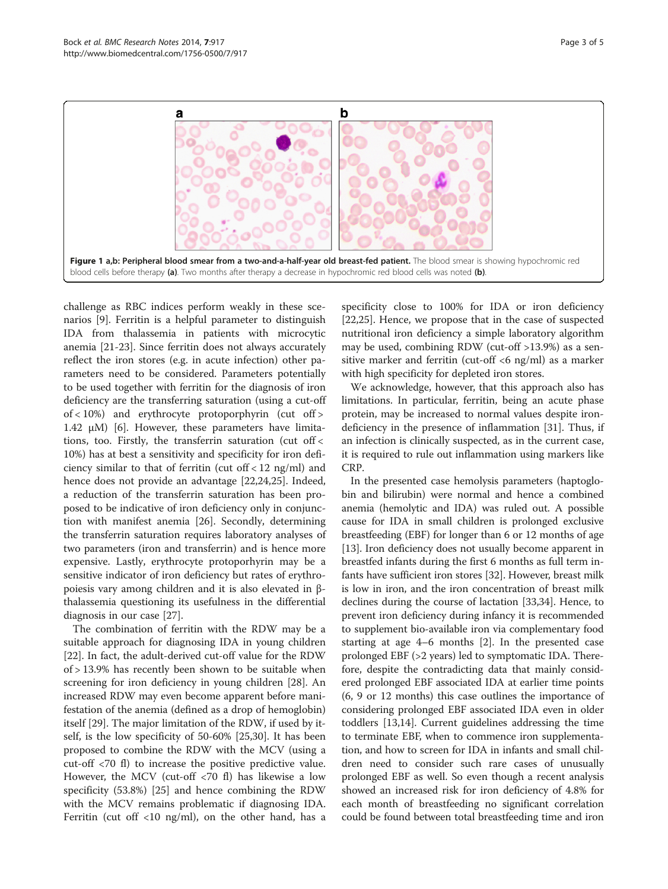<span id="page-2-0"></span>

challenge as RBC indices perform weakly in these scenarios [[9\]](#page-4-0). Ferritin is a helpful parameter to distinguish IDA from thalassemia in patients with microcytic anemia [[21](#page-4-0)-[23\]](#page-4-0). Since ferritin does not always accurately reflect the iron stores (e.g. in acute infection) other parameters need to be considered. Parameters potentially to be used together with ferritin for the diagnosis of iron deficiency are the transferring saturation (using a cut-off of < 10%) and erythrocyte protoporphyrin (cut off > 1.42 μM) [[6\]](#page-4-0). However, these parameters have limitations, too. Firstly, the transferrin saturation (cut off < 10%) has at best a sensitivity and specificity for iron deficiency similar to that of ferritin (cut off < 12 ng/ml) and hence does not provide an advantage [[22,24,25\]](#page-4-0). Indeed, a reduction of the transferrin saturation has been proposed to be indicative of iron deficiency only in conjunction with manifest anemia [\[26](#page-4-0)]. Secondly, determining the transferrin saturation requires laboratory analyses of two parameters (iron and transferrin) and is hence more expensive. Lastly, erythrocyte protoporhyrin may be a sensitive indicator of iron deficiency but rates of erythropoiesis vary among children and it is also elevated in βthalassemia questioning its usefulness in the differential diagnosis in our case [\[27](#page-4-0)].

The combination of ferritin with the RDW may be a suitable approach for diagnosing IDA in young children [[22\]](#page-4-0). In fact, the adult-derived cut-off value for the RDW of > 13.9% has recently been shown to be suitable when screening for iron deficiency in young children [\[28](#page-4-0)]. An increased RDW may even become apparent before manifestation of the anemia (defined as a drop of hemoglobin) itself [[29\]](#page-4-0). The major limitation of the RDW, if used by itself, is the low specificity of 50-60% [\[25,30\]](#page-4-0). It has been proposed to combine the RDW with the MCV (using a cut-off <70 fl) to increase the positive predictive value. However, the MCV (cut-off <70 fl) has likewise a low specificity (53.8%) [\[25](#page-4-0)] and hence combining the RDW with the MCV remains problematic if diagnosing IDA. Ferritin (cut off  $<$ 10 ng/ml), on the other hand, has a specificity close to 100% for IDA or iron deficiency [[22,25\]](#page-4-0). Hence, we propose that in the case of suspected nutritional iron deficiency a simple laboratory algorithm may be used, combining RDW (cut-off >13.9%) as a sensitive marker and ferritin (cut-off <6 ng/ml) as a marker with high specificity for depleted iron stores.

We acknowledge, however, that this approach also has limitations. In particular, ferritin, being an acute phase protein, may be increased to normal values despite irondeficiency in the presence of inflammation [\[31\]](#page-4-0). Thus, if an infection is clinically suspected, as in the current case, it is required to rule out inflammation using markers like CRP.

In the presented case hemolysis parameters (haptoglobin and bilirubin) were normal and hence a combined anemia (hemolytic and IDA) was ruled out. A possible cause for IDA in small children is prolonged exclusive breastfeeding (EBF) for longer than 6 or 12 months of age [[13\]](#page-4-0). Iron deficiency does not usually become apparent in breastfed infants during the first 6 months as full term infants have sufficient iron stores [[32](#page-4-0)]. However, breast milk is low in iron, and the iron concentration of breast milk declines during the course of lactation [[33,34](#page-4-0)]. Hence, to prevent iron deficiency during infancy it is recommended to supplement bio-available iron via complementary food starting at age 4–6 months [[2\]](#page-4-0). In the presented case prolonged EBF (>2 years) led to symptomatic IDA. Therefore, despite the contradicting data that mainly considered prolonged EBF associated IDA at earlier time points (6, 9 or 12 months) this case outlines the importance of considering prolonged EBF associated IDA even in older toddlers [[13,14](#page-4-0)]. Current guidelines addressing the time to terminate EBF, when to commence iron supplementation, and how to screen for IDA in infants and small children need to consider such rare cases of unusually prolonged EBF as well. So even though a recent analysis showed an increased risk for iron deficiency of 4.8% for each month of breastfeeding no significant correlation could be found between total breastfeeding time and iron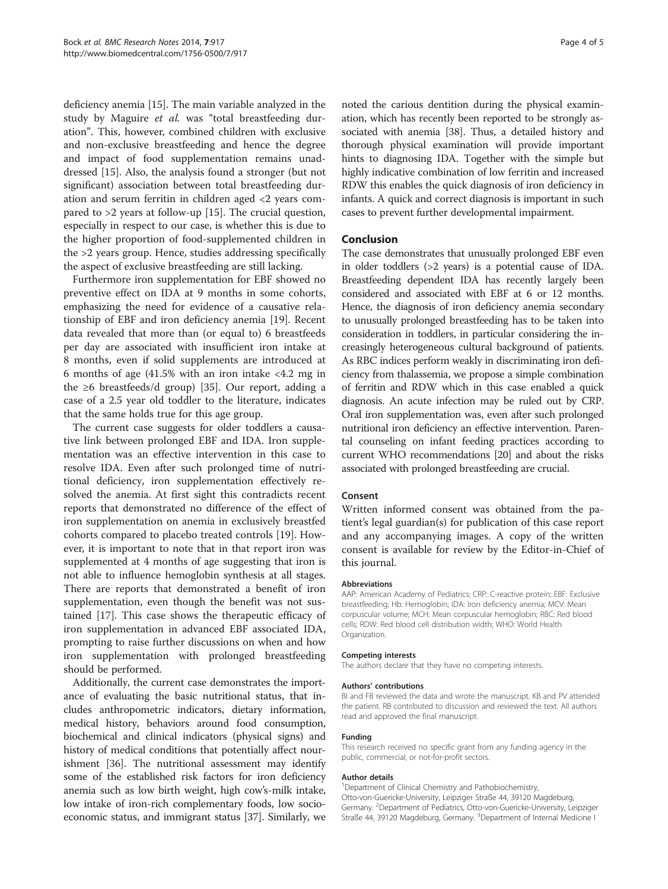deficiency anemia [\[15\]](#page-4-0). The main variable analyzed in the study by Maguire et al. was "total breastfeeding duration". This, however, combined children with exclusive and non-exclusive breastfeeding and hence the degree and impact of food supplementation remains unaddressed [\[15](#page-4-0)]. Also, the analysis found a stronger (but not significant) association between total breastfeeding duration and serum ferritin in children aged <2 years compared to >2 years at follow-up [\[15\]](#page-4-0). The crucial question, especially in respect to our case, is whether this is due to the higher proportion of food-supplemented children in the >2 years group. Hence, studies addressing specifically the aspect of exclusive breastfeeding are still lacking.

Furthermore iron supplementation for EBF showed no preventive effect on IDA at 9 months in some cohorts, emphasizing the need for evidence of a causative relationship of EBF and iron deficiency anemia [[19\]](#page-4-0). Recent data revealed that more than (or equal to) 6 breastfeeds per day are associated with insufficient iron intake at 8 months, even if solid supplements are introduced at 6 months of age (41.5% with an iron intake <4.2 mg in the  $\geq 6$  breastfeeds/d group) [[35\]](#page-4-0). Our report, adding a case of a 2.5 year old toddler to the literature, indicates that the same holds true for this age group.

The current case suggests for older toddlers a causative link between prolonged EBF and IDA. Iron supplementation was an effective intervention in this case to resolve IDA. Even after such prolonged time of nutritional deficiency, iron supplementation effectively resolved the anemia. At first sight this contradicts recent reports that demonstrated no difference of the effect of iron supplementation on anemia in exclusively breastfed cohorts compared to placebo treated controls [\[19](#page-4-0)]. However, it is important to note that in that report iron was supplemented at 4 months of age suggesting that iron is not able to influence hemoglobin synthesis at all stages. There are reports that demonstrated a benefit of iron supplementation, even though the benefit was not sustained [\[17\]](#page-4-0). This case shows the therapeutic efficacy of iron supplementation in advanced EBF associated IDA, prompting to raise further discussions on when and how iron supplementation with prolonged breastfeeding should be performed.

Additionally, the current case demonstrates the importance of evaluating the basic nutritional status, that includes anthropometric indicators, dietary information, medical history, behaviors around food consumption, biochemical and clinical indicators (physical signs) and history of medical conditions that potentially affect nourishment [[36](#page-4-0)]. The nutritional assessment may identify some of the established risk factors for iron deficiency anemia such as low birth weight, high cow's-milk intake, low intake of iron-rich complementary foods, low socioeconomic status, and immigrant status [[37](#page-4-0)]. Similarly, we noted the carious dentition during the physical examination, which has recently been reported to be strongly associated with anemia [\[38\]](#page-4-0). Thus, a detailed history and thorough physical examination will provide important hints to diagnosing IDA. Together with the simple but highly indicative combination of low ferritin and increased RDW this enables the quick diagnosis of iron deficiency in infants. A quick and correct diagnosis is important in such cases to prevent further developmental impairment.

## Conclusion

The case demonstrates that unusually prolonged EBF even in older toddlers (>2 years) is a potential cause of IDA. Breastfeeding dependent IDA has recently largely been considered and associated with EBF at 6 or 12 months. Hence, the diagnosis of iron deficiency anemia secondary to unusually prolonged breastfeeding has to be taken into consideration in toddlers, in particular considering the increasingly heterogeneous cultural background of patients. As RBC indices perform weakly in discriminating iron deficiency from thalassemia, we propose a simple combination of ferritin and RDW which in this case enabled a quick diagnosis. An acute infection may be ruled out by CRP. Oral iron supplementation was, even after such prolonged nutritional iron deficiency an effective intervention. Parental counseling on infant feeding practices according to current WHO recommendations [[20](#page-4-0)] and about the risks associated with prolonged breastfeeding are crucial.

#### Consent

Written informed consent was obtained from the patient's legal guardian(s) for publication of this case report and any accompanying images. A copy of the written consent is available for review by the Editor-in-Chief of this journal.

#### Abbreviations

AAP: American Academy of Pediatrics; CRP: C-reactive protein; EBF: Exclusive breastfeeding; Hb: Hemoglobin; IDA: Iron deficiency anemia; MCV: Mean corpuscular volume; MCH: Mean corpuscular hemoglobin; RBC: Red blood cells; RDW: Red blood cell distribution width; WHO: World Health Organization.

#### Competing interests

The authors declare that they have no competing interests.

#### Authors' contributions

BI and FB reviewed the data and wrote the manuscript. KB and PV attended the patient. RB contributed to discussion and reviewed the text. All authors read and approved the final manuscript.

#### Funding

This research received no specific grant from any funding agency in the public, commercial, or not-for-profit sectors.

#### Author details

<sup>1</sup>Department of Clinical Chemistry and Pathobiochemistry, Otto-von-Guericke-University, Leipziger Straße 44, 39120 Magdeburg, Germany. <sup>2</sup>Department of Pediatrics, Otto-von-Guericke-University, Leipziger Straße 44, 39120 Magdeburg, Germany. <sup>3</sup>Department of Internal Medicine I